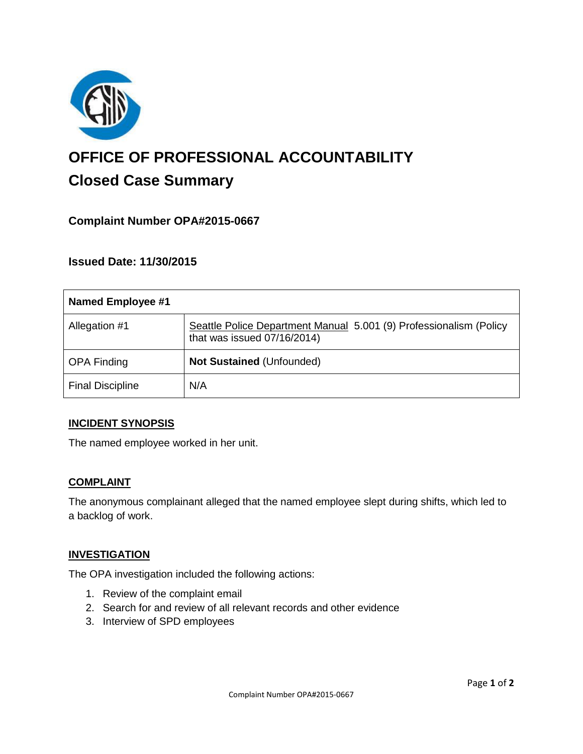

# **OFFICE OF PROFESSIONAL ACCOUNTABILITY Closed Case Summary**

## **Complaint Number OPA#2015-0667**

**Issued Date: 11/30/2015**

| Named Employee #1       |                                                                                                   |
|-------------------------|---------------------------------------------------------------------------------------------------|
| Allegation #1           | Seattle Police Department Manual 5.001 (9) Professionalism (Policy<br>that was issued 07/16/2014) |
| <b>OPA Finding</b>      | <b>Not Sustained (Unfounded)</b>                                                                  |
| <b>Final Discipline</b> | N/A                                                                                               |

#### **INCIDENT SYNOPSIS**

The named employee worked in her unit.

#### **COMPLAINT**

The anonymous complainant alleged that the named employee slept during shifts, which led to a backlog of work.

#### **INVESTIGATION**

The OPA investigation included the following actions:

- 1. Review of the complaint email
- 2. Search for and review of all relevant records and other evidence
- 3. Interview of SPD employees